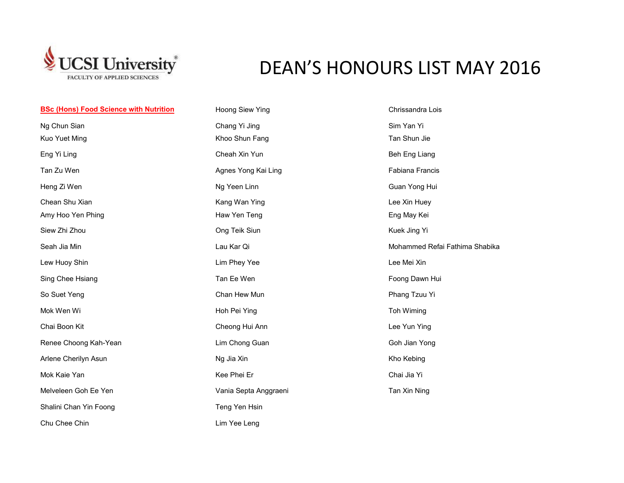

## DEAN'S HONOURS LIST MAY 2016

| <b>BSc (Hons) Food Science with Nutrition</b> | Hoong Siew Ying       | Chrissandra Lois               |
|-----------------------------------------------|-----------------------|--------------------------------|
| Ng Chun Sian                                  | Chang Yi Jing         | Sim Yan Yi                     |
| Kuo Yuet Ming                                 | Khoo Shun Fang        | Tan Shun Jie                   |
| Eng Yi Ling                                   | Cheah Xin Yun         | Beh Eng Liang                  |
| Tan Zu Wen                                    | Agnes Yong Kai Ling   | Fabiana Francis                |
| Heng Zi Wen                                   | Ng Yeen Linn          | Guan Yong Hui                  |
| Chean Shu Xian                                | Kang Wan Ying         | Lee Xin Huey                   |
| Amy Hoo Yen Phing                             | Haw Yen Teng          | Eng May Kei                    |
| Siew Zhi Zhou                                 | Ong Teik Siun         | Kuek Jing Yi                   |
| Seah Jia Min                                  | Lau Kar Qi            | Mohammed Refai Fathima Shabika |
| Lew Huoy Shin                                 | Lim Phey Yee          | Lee Mei Xin                    |
| Sing Chee Hsiang                              | Tan Ee Wen            | Foong Dawn Hui                 |
| So Suet Yeng                                  | Chan Hew Mun          | Phang Tzuu Yi                  |
| Mok Wen Wi                                    | Hoh Pei Ying          | Toh Wiming                     |
| Chai Boon Kit                                 | Cheong Hui Ann        | Lee Yun Ying                   |
| Renee Choong Kah-Yean                         | Lim Chong Guan        | Goh Jian Yong                  |
| Arlene Cherilyn Asun                          | Ng Jia Xin            | Kho Kebing                     |
| Mok Kaie Yan                                  | Kee Phei Er           | Chai Jia Yi                    |
| Melveleen Goh Ee Yen                          | Vania Septa Anggraeni | Tan Xin Ning                   |
| Shalini Chan Yin Foong                        | Teng Yen Hsin         |                                |
| Chu Chee Chin                                 | Lim Yee Leng          |                                |